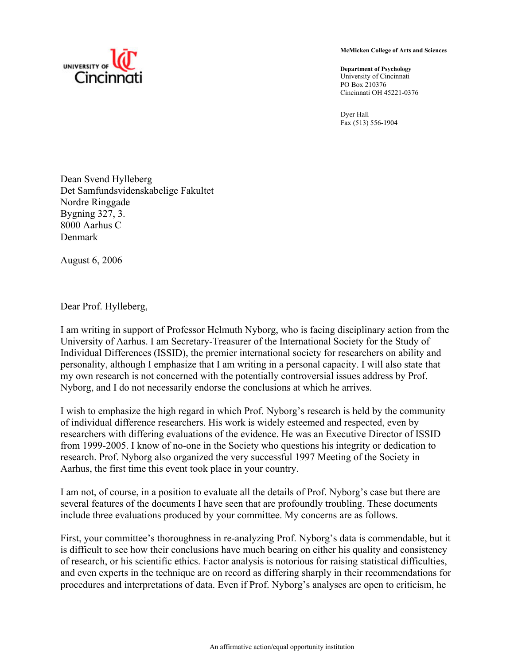

**McMicken College of Arts and Sciences** 

**Department of Psychology**  University of Cincinnati PO Box 210376 Cincinnati OH 45221-0376

Dyer Hall Fax (513) 556-1904

Dean Svend Hylleberg Det Samfundsvidenskabelige Fakultet Nordre Ringgade Bygning 327, 3. 8000 Aarhus C Denmark

August 6, 2006

Dear Prof. Hylleberg,

I am writing in support of Professor Helmuth Nyborg, who is facing disciplinary action from the University of Aarhus. I am Secretary-Treasurer of the International Society for the Study of Individual Differences (ISSID), the premier international society for researchers on ability and personality, although I emphasize that I am writing in a personal capacity. I will also state that my own research is not concerned with the potentially controversial issues address by Prof. Nyborg, and I do not necessarily endorse the conclusions at which he arrives.

I wish to emphasize the high regard in which Prof. Nyborg's research is held by the community of individual difference researchers. His work is widely esteemed and respected, even by researchers with differing evaluations of the evidence. He was an Executive Director of ISSID from 1999-2005. I know of no-one in the Society who questions his integrity or dedication to research. Prof. Nyborg also organized the very successful 1997 Meeting of the Society in Aarhus, the first time this event took place in your country.

I am not, of course, in a position to evaluate all the details of Prof. Nyborg's case but there are several features of the documents I have seen that are profoundly troubling. These documents include three evaluations produced by your committee. My concerns are as follows.

First, your committee's thoroughness in re-analyzing Prof. Nyborg's data is commendable, but it is difficult to see how their conclusions have much bearing on either his quality and consistency of research, or his scientific ethics. Factor analysis is notorious for raising statistical difficulties, and even experts in the technique are on record as differing sharply in their recommendations for procedures and interpretations of data. Even if Prof. Nyborg's analyses are open to criticism, he